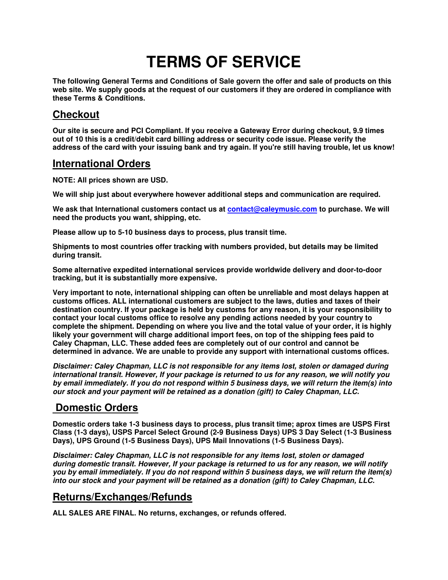# **TERMS OF SERVICE**

**The following General Terms and Conditions of Sale govern the offer and sale of products on this web site. We supply goods at the request of our customers if they are ordered in compliance with these Terms & Conditions.** 

### **Checkout**

**Our site is secure and PCI Compliant. If you receive a Gateway Error during checkout, 9.9 times out of 10 this is a credit/debit card billing address or security code issue. Please verify the address of the card with your issuing bank and try again. If you're still having trouble, let us know!**

#### **International Orders**

**NOTE: All prices shown are USD.** 

**We will ship just about everywhere however additional steps and communication are required.** 

We ask that International customers contact us at contact@caleymusic.com to purchase. We will **need the products you want, shipping, etc.** 

**Please allow up to 5-10 business days to process, plus transit time.** 

**Shipments to most countries offer tracking with numbers provided, but details may be limited during transit.** 

**Some alternative expedited international services provide worldwide delivery and door-to-door tracking, but it is substantially more expensive.** 

**Very important to note, international shipping can often be unreliable and most delays happen at customs offices. ALL international customers are subject to the laws, duties and taxes of their destination country. If your package is held by customs for any reason, it is your responsibility to contact your local customs office to resolve any pending actions needed by your country to complete the shipment. Depending on where you live and the total value of your order, it is highly likely your government will charge additional import fees, on top of the shipping fees paid to Caley Chapman, LLC. These added fees are completely out of our control and cannot be determined in advance. We are unable to provide any support with international customs offices.** 

*Disclaimer: Caley Chapman, LLC is not responsible for any items lost, stolen or damaged during international transit. However, If your package is returned to us for any reason, we will notify you by email immediately. If you do not respond within 5 business days, we will return the item(s) into our stock and your payment will be retained as a donation (gift) to Caley Chapman, LLC.*

## **Domestic Orders**

**Domestic orders take 1-3 business days to process, plus transit time; aprox times are USPS First Class (1-3 days), USPS Parcel Select Ground (2-9 Business Days) UPS 3 Day Select (1-3 Business Days), UPS Ground (1-5 Business Days), UPS Mail Innovations (1-5 Business Days).** 

*Disclaimer: Caley Chapman, LLC is not responsible for any items lost, stolen or damaged during domestic transit. However, If your package is returned to us for any reason, we will notify you by email immediately. If you do not respond within 5 business days, we will return the item(s) into our stock and your payment will be retained as a donation (gift) to Caley Chapman, LLC.* 

#### **Returns/Exchanges/Refunds**

**ALL SALES ARE FINAL. No returns, exchanges, or refunds offered.**